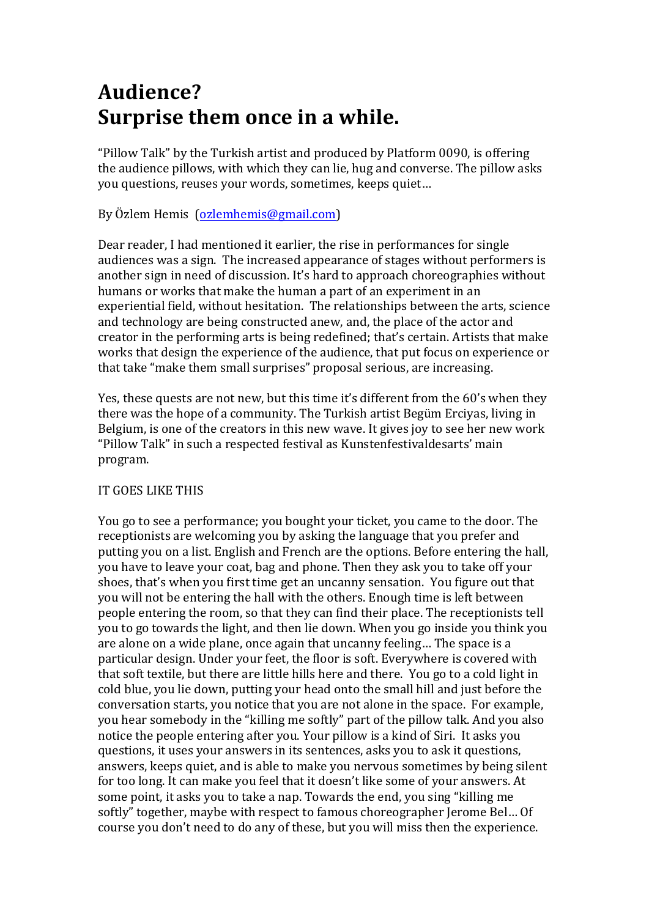## **Audience? Surprise them once in a while.**

"Pillow Talk" by the Turkish artist and produced by Platform 0090, is offering the audience pillows, with which they can lie, hug and converse. The pillow asks you questions, reuses your words, sometimes, keeps quiet...

By Özlem Hemis (ozlemhemis@gmail.com)

Dear reader, I had mentioned it earlier, the rise in performances for single audiences was a sign. The increased appearance of stages without performers is another sign in need of discussion. It's hard to approach choreographies without humans or works that make the human a part of an experiment in an experiential field, without hesitation. The relationships between the arts, science and technology are being constructed anew, and, the place of the actor and creator in the performing arts is being redefined; that's certain. Artists that make works that design the experience of the audience, that put focus on experience or that take "make them small surprises" proposal serious, are increasing.

Yes, these quests are not new, but this time it's different from the 60's when they there was the hope of a community. The Turkish artist Begüm Erciyas, living in Belgium, is one of the creators in this new wave. It gives joy to see her new work "Pillow Talk" in such a respected festival as Kunstenfestivaldesarts' main program. 

## IT GOES LIKE THIS

You go to see a performance; you bought your ticket, you came to the door. The receptionists are welcoming you by asking the language that you prefer and putting you on a list. English and French are the options. Before entering the hall, you have to leave your coat, bag and phone. Then they ask you to take off your shoes, that's when you first time get an uncanny sensation. You figure out that you will not be entering the hall with the others. Enough time is left between people entering the room, so that they can find their place. The receptionists tell you to go towards the light, and then lie down. When you go inside you think you are alone on a wide plane, once again that uncanny feeling... The space is a particular design. Under your feet, the floor is soft. Everywhere is covered with that soft textile, but there are little hills here and there. You go to a cold light in cold blue, you lie down, putting your head onto the small hill and just before the conversation starts, you notice that you are not alone in the space. For example, you hear somebody in the "killing me softly" part of the pillow talk. And you also notice the people entering after you. Your pillow is a kind of Siri. It asks you questions, it uses your answers in its sentences, asks you to ask it questions, answers, keeps quiet, and is able to make you nervous sometimes by being silent for too long. It can make you feel that it doesn't like some of your answers. At some point, it asks you to take a nap. Towards the end, you sing "killing me softly" together, maybe with respect to famous choreographer Jerome Bel... Of course you don't need to do any of these, but you will miss then the experience.